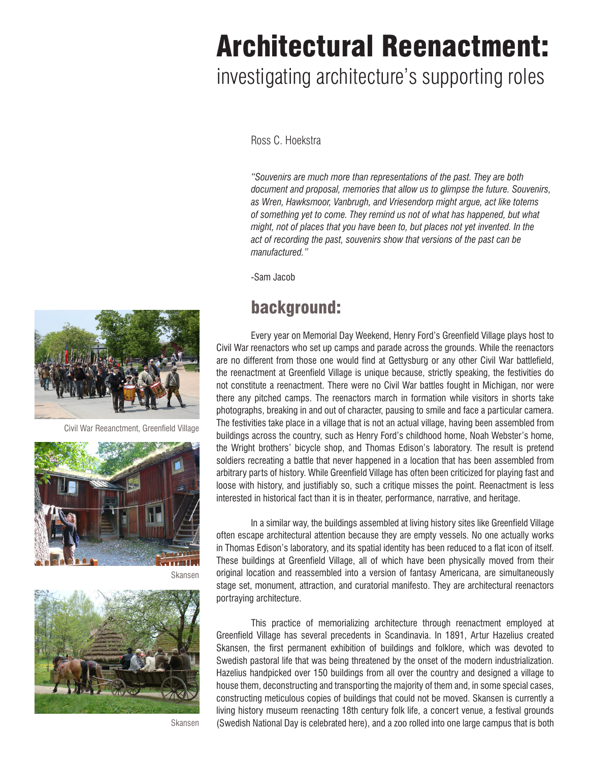# Architectural Reenactment:

# investigating architecture's supporting roles

Ross C. Hoekstra

*"Souvenirs are much more than representations of the past. They are both document and proposal, memories that allow us to glimpse the future. Souvenirs, as Wren, Hawksmoor, Vanbrugh, and Vriesendorp might argue, act like totems of something yet to come. They remind us not of what has happened, but what might, not of places that you have been to, but places not yet invented. In the act of recording the past, souvenirs show that versions of the past can be manufactured."*

 -Sam Jacob

### background:

 Every year on Memorial Day Weekend, Henry Ford's Greenfield Village plays host to Civil War reenactors who set up camps and parade across the grounds. While the reenactors are no different from those one would find at Gettysburg or any other Civil War battlefield, the reenactment at Greenfield Village is unique because, strictly speaking, the festivities do not constitute a reenactment. There were no Civil War battles fought in Michigan, nor were there any pitched camps. The reenactors march in formation while visitors in shorts take photographs, breaking in and out of character, pausing to smile and face a particular camera. The festivities take place in a village that is not an actual village, having been assembled from buildings across the country, such as Henry Ford's childhood home, Noah Webster's home, the Wright brothers' bicycle shop, and Thomas Edison's laboratory. The result is pretend soldiers recreating a battle that never happened in a location that has been assembled from arbitrary parts of history. While Greenfield Village has often been criticized for playing fast and loose with history, and justifiably so, such a critique misses the point. Reenactment is less interested in historical fact than it is in theater, performance, narrative, and heritage.

 In a similar way, the buildings assembled at living history sites like Greenfield Village often escape architectural attention because they are empty vessels. No one actually works in Thomas Edison's laboratory, and its spatial identity has been reduced to a flat icon of itself. These buildings at Greenfield Village, all of which have been physically moved from their original location and reassembled into a version of fantasy Americana, are simultaneously stage set, monument, attraction, and curatorial manifesto. They are architectural reenactors portraying architecture.

 This practice of memorializing architecture through reenactment employed at Greenfield Village has several precedents in Scandinavia. In 1891, Artur Hazelius created Skansen, the first permanent exhibition of buildings and folklore, which was devoted to Swedish pastoral life that was being threatened by the onset of the modern industrialization. Hazelius handpicked over 150 buildings from all over the country and designed a village to house them, deconstructing and transporting the majority of them and, in some special cases, constructing meticulous copies of buildings that could not be moved. Skansen is currently a living history museum reenacting 18th century folk life, a concert venue, a festival grounds (Swedish National Day is celebrated here), and a zoo rolled into one large campus that is both



Civil War Reeanctment, Greenfield Village



Skansen



Skansen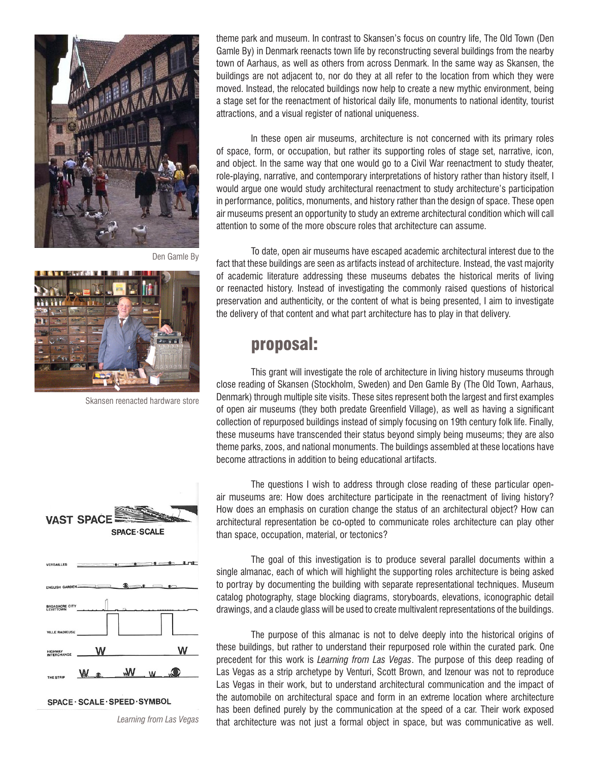

Den Gamle By



Skansen reenacted hardware store

theme park and museum. In contrast to Skansen's focus on country life, The Old Town (Den Gamle By) in Denmark reenacts town life by reconstructing several buildings from the nearby town of Aarhaus, as well as others from across Denmark. In the same way as Skansen, the buildings are not adjacent to, nor do they at all refer to the location from which they were moved. Instead, the relocated buildings now help to create a new mythic environment, being a stage set for the reenactment of historical daily life, monuments to national identity, tourist attractions, and a visual register of national uniqueness.

 In these open air museums, architecture is not concerned with its primary roles of space, form, or occupation, but rather its supporting roles of stage set, narrative, icon, and object. In the same way that one would go to a Civil War reenactment to study theater, role-playing, narrative, and contemporary interpretations of history rather than history itself, I would argue one would study architectural reenactment to study architecture's participation in performance, politics, monuments, and history rather than the design of space. These open air museums present an opportunity to study an extreme architectural condition which will call attention to some of the more obscure roles that architecture can assume.

 To date, open air museums have escaped academic architectural interest due to the fact that these buildings are seen as artifacts instead of architecture. Instead, the vast majority of academic literature addressing these museums debates the historical merits of living or reenacted history. Instead of investigating the commonly raised questions of historical preservation and authenticity, or the content of what is being presented, I aim to investigate the delivery of that content and what part architecture has to play in that delivery.

#### proposal:

 This grant will investigate the role of architecture in living history museums through close reading of Skansen (Stockholm, Sweden) and Den Gamle By (The Old Town, Aarhaus, Denmark) through multiple site visits. These sites represent both the largest and first examples of open air museums (they both predate Greenfield Village), as well as having a significant collection of repurposed buildings instead of simply focusing on 19th century folk life. Finally, these museums have transcended their status beyond simply being museums; they are also theme parks, zoos, and national monuments. The buildings assembled at these locations have become attractions in addition to being educational artifacts.



SPACE · SCALE · SPEED · SYMBOL

*Learning from Las Vegas*

 The questions I wish to address through close reading of these particular openair museums are: How does architecture participate in the reenactment of living history? How does an emphasis on curation change the status of an architectural object? How can architectural representation be co-opted to communicate roles architecture can play other than space, occupation, material, or tectonics?

 The goal of this investigation is to produce several parallel documents within a single almanac, each of which will highlight the supporting roles architecture is being asked to portray by documenting the building with separate representational techniques. Museum catalog photography, stage blocking diagrams, storyboards, elevations, iconographic detail drawings, and a claude glass will be used to create multivalent representations of the buildings.

 The purpose of this almanac is not to delve deeply into the historical origins of these buildings, but rather to understand their repurposed role within the curated park. One precedent for this work is *Learning from Las Vegas*. The purpose of this deep reading of Las Vegas as a strip archetype by Venturi, Scott Brown, and Izenour was not to reproduce Las Vegas in their work, but to understand architectural communication and the impact of the automobile on architectural space and form in an extreme location where architecture has been defined purely by the communication at the speed of a car. Their work exposed that architecture was not just a formal object in space, but was communicative as well.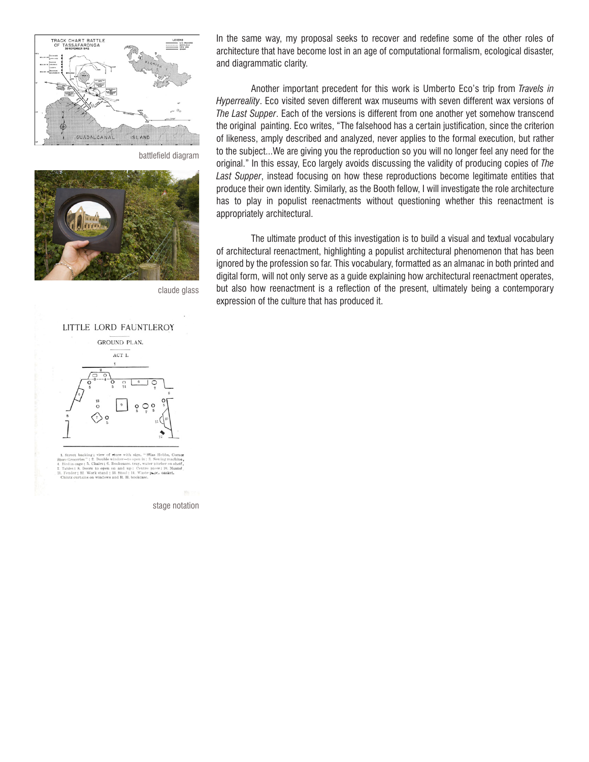

battlefield diagram



claude glass



et backing; view of store with sign, "Sllas Hobbs,<br>occries": 2. Double window-to open in ; 3. Sewing m ore Groceries"; 2, Double window-to-open in; 3. See<br>Bird in cage; 5. Chairs; 6. Bookcases, tray, water pitc<br>Tables; 8. Doors to open on and up; Centre piece<br>Findes; 18. Work stand; 13. Stool; 14. Waste p.pc.<br>Chintz curtain

stage notation

In the same way, my proposal seeks to recover and redefine some of the other roles of architecture that have become lost in an age of computational formalism, ecological disaster, and diagrammatic clarity.

 Another important precedent for this work is Umberto Eco's trip from *Travels in Hyperreality*. Eco visited seven different wax museums with seven different wax versions of *The Last Supper*. Each of the versions is different from one another yet somehow transcend the original painting. Eco writes, "The falsehood has a certain justification, since the criterion of likeness, amply described and analyzed, never applies to the formal execution, but rather to the subject...We are giving you the reproduction so you will no longer feel any need for the original." In this essay, Eco largely avoids discussing the validity of producing copies of *The Last Supper*, instead focusing on how these reproductions become legitimate entities that produce their own identity. Similarly, as the Booth fellow, I will investigate the role architecture has to play in populist reenactments without questioning whether this reenactment is appropriately architectural.

 The ultimate product of this investigation is to build a visual and textual vocabulary of architectural reenactment, highlighting a populist architectural phenomenon that has been ignored by the profession so far. This vocabulary, formatted as an almanac in both printed and digital form, will not only serve as a guide explaining how architectural reenactment operates, but also how reenactment is a reflection of the present, ultimately being a contemporary expression of the culture that has produced it.